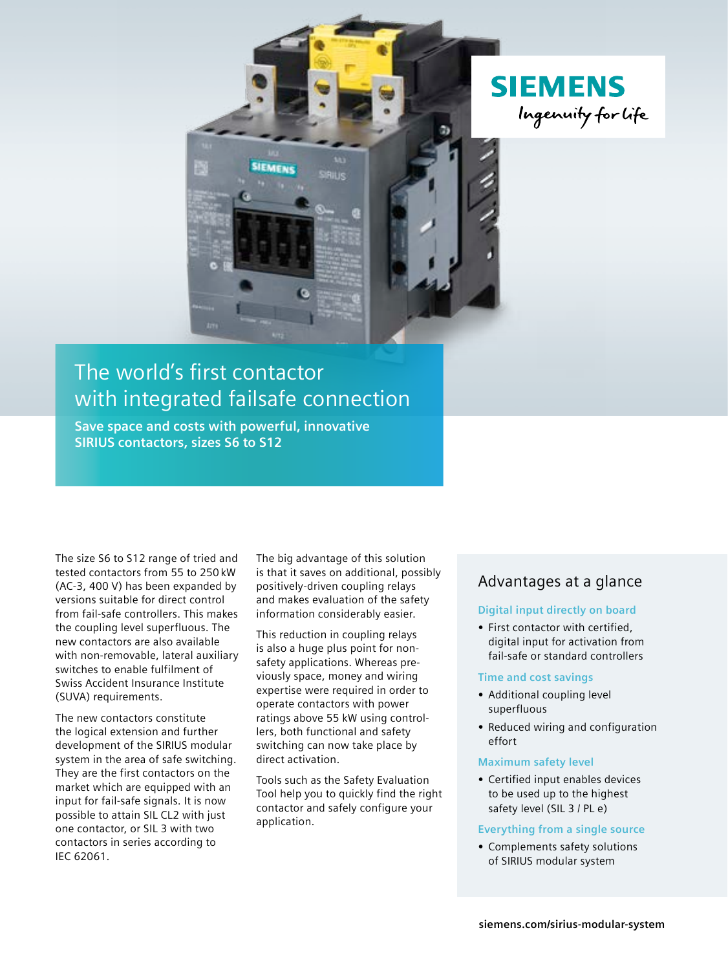

## The world's first contactor with integrated failsafe connection

**SIEMENS** 

**Save space and costs with powerful, innovative SIRIUS contactors, sizes S6 to S12**

The size S6 to S12 range of tried and tested contactors from 55 to 250 kW (AC-3, 400 V) has been expanded by versions suitable for direct control from fail-safe controllers. This makes the coupling level superfluous. The new contactors are also available with non-removable, lateral auxiliary switches to enable fulfilment of Swiss Accident Insurance Institute (SUVA) requirements.

The new contactors constitute the logical extension and further development of the SIRIUS modular system in the area of safe switching. They are the first contactors on the market which are equipped with an input for fail-safe signals. It is now possible to attain SIL CL2 with just one contactor, or SIL 3 with two contactors in series according to IEC 62061.

The big advantage of this solution is that it saves on additional, possibly positively-driven coupling relays and makes evaluation of the safety information considerably easier.

This reduction in coupling relays is also a huge plus point for nonsafety applications. Whereas previously space, money and wiring expertise were required in order to operate contactors with power ratings above 55 kW using controllers, both functional and safety switching can now take place by direct activation.

Tools such as the Safety Evaluation Tool help you to quickly find the right contactor and safely configure your application.

### Advantages at a glance

#### **Digital input directly on board**

**•** First contactor with certified, digital input for activation from fail-safe or standard controllers

#### **Time and cost savings**

- **•** Additional coupling level superfluous
- **•** Reduced wiring and configuration effort

#### **Maximum safety level**

**•** Certified input enables devices to be used up to the highest safety level (SIL 3 / PL e)

#### **Everything from a single source**

**•** Complements safety solutions of SIRIUS modular system